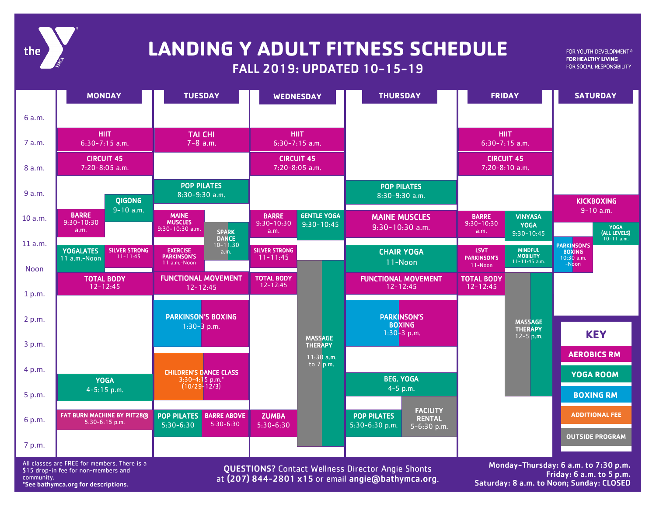

## **LANDING Y ADULT FITNESS SCHEDULE**

FALL 2019: UPDATED 10-15-19

FOR YOUTH DEVELOPMENT® FOR HEALTHY LIVING FOR SOCIAL RESPONSIBILITY

|             | <b>MONDAY</b>                                                            | <b>TUESDAY</b>                                                         | <b>WEDNESDAY</b>                                                       | <b>THURSDAY</b>                                                                         | <b>FRIDAY</b>                                                                                          | <b>SATURDAY</b>                        |
|-------------|--------------------------------------------------------------------------|------------------------------------------------------------------------|------------------------------------------------------------------------|-----------------------------------------------------------------------------------------|--------------------------------------------------------------------------------------------------------|----------------------------------------|
| 6 a.m.      |                                                                          |                                                                        |                                                                        |                                                                                         |                                                                                                        |                                        |
| 7 a.m.      | <b>HIIT</b><br>$6:30-7:15$ a.m.                                          | <b>TAI CHI</b><br>$7 - 8$ a.m.                                         | <b>HIIT</b><br>$6:30-7:15$ a.m.                                        |                                                                                         | <b>HIIT</b><br>$6:30-7:15$ a.m.                                                                        |                                        |
| 8 a.m.      | <b>CIRCUIT 45</b><br>7:20-8:05 a.m.                                      |                                                                        | <b>CIRCUIT 45</b><br>7:20-8:05 a.m.                                    |                                                                                         | <b>CIRCUIT 45</b><br>7:20-8:10 a.m.                                                                    |                                        |
| 9 a.m.      | <b>QIGONG</b>                                                            | <b>POP PILATES</b><br>8:30-9:30 a.m.                                   |                                                                        | <b>POP PILATES</b><br>8:30-9:30 a.m.                                                    |                                                                                                        | <b>KICKBOXING</b>                      |
| 10 a.m.     | $9 - 10$ a.m.<br><b>BARRE</b><br>$9:30 - 10:30$                          | <b>MAINE</b><br><b>MUSCLES</b><br>$9:30 - 10:30$ a.m.                  | <b>GENTLE YOGA</b><br><b>BARRE</b><br>$9:30 - 10:30$<br>$9:30 - 10:45$ | <b>MAINE MUSCLES</b><br>$9:30-10:30$ a.m.                                               | <b>VINYASA</b><br><b>BARRE</b><br>$9:30 - 10:30$<br><b>YOGA</b>                                        | $9 - 10$ a.m.<br>YOGA<br>(ALL LEVELS)  |
| 11 a.m.     | a.m.                                                                     | <b>SPARK</b><br><b>DANCE</b><br>$10 - 11:30$                           | a.m.                                                                   |                                                                                         | a.m.<br>$9:30 - 10:45$                                                                                 | $10 - 11$ a.m.<br><b>PARKINSON'S</b>   |
| <b>Noon</b> | <b>YOGALATES</b><br><b>SILVER STRONG</b><br>$11 - 11:45$<br>11 a.m.-Noon | <b>EXERCISE</b><br>a.m.<br><b>PARKINSON'S</b><br>11 a.m.-Noon          | <b>SILVER STRONG</b><br>$11 - 11:45$                                   | <b>CHAIR YOGA</b><br>11-Noon                                                            | <b>MINDFUL</b><br><b>LSVT</b><br><b>MOBILITY</b><br><b>PARKINSON'S</b><br>$11 - 11:45$ a.m.<br>11-Noon | <b>BOXING</b><br>$10:30$ a.m.<br>-Noon |
| 1 p.m.      | <b>TOTAL BODY</b><br>$12 - 12:45$                                        | <b>FUNCTIONAL MOVEMENT</b><br>$12 - 12:45$                             | <b>TOTAL BODY</b><br>$12 - 12:45$                                      | <b>FUNCTIONAL MOVEMENT</b><br>$12 - 12:45$                                              | <b>TOTAL BODY</b><br>$12 - 12:45$                                                                      |                                        |
| 2 p.m.      |                                                                          | <b>PARKINSON'S BOXING</b>                                              |                                                                        | <b>PARKINSON'S</b>                                                                      |                                                                                                        |                                        |
|             |                                                                          | $1:30-3$ p.m.                                                          | <b>MASSAGE</b>                                                         | <b>BOXING</b><br>$1:30-3$ p.m.                                                          | <b>MASSAGE</b><br><b>THERAPY</b><br>$12 - 5$ p.m.                                                      | <b>KEY</b>                             |
| 3 p.m.      |                                                                          |                                                                        | <b>THERAPY</b>                                                         |                                                                                         |                                                                                                        | <b>AEROBICS RM</b>                     |
| 4 p.m.      |                                                                          | <b>CHILDREN'S DANCE CLASS</b>                                          | $11:30$ a.m.<br>to $7$ p.m.                                            |                                                                                         |                                                                                                        |                                        |
|             | <b>YOGA</b><br>$4 - 5:15$ p.m.                                           | 3:30-4:15 p.m.*<br>$(10/29 - 12/3)$                                    |                                                                        | <b>BEG. YOGA</b><br>$4-5$ p.m.                                                          |                                                                                                        | <b>YOGA ROOM</b>                       |
| 5 p.m.      |                                                                          |                                                                        |                                                                        |                                                                                         |                                                                                                        | <b>BOXING RM</b>                       |
| 6 p.m.      | <b>FAT BURN MACHINE BY PIIT28®</b><br>5:30-6:15 p.m.                     | <b>BARRE ABOVE</b><br><b>POP PILATES</b><br>$5:30-6:30$<br>$5:30-6:30$ | <b>ZUMBA</b><br>$5:30 - 6:30$                                          | <b>FACILITY</b><br><b>POP PILATES</b><br><b>RENTAL</b><br>5:30-6:30 p.m.<br>5-6:30 p.m. |                                                                                                        | <b>ADDITIONAL FEE</b>                  |
| 7 p.m.      |                                                                          |                                                                        |                                                                        |                                                                                         |                                                                                                        | <b>OUTSIDE PROGRAM</b>                 |
|             |                                                                          |                                                                        |                                                                        |                                                                                         |                                                                                                        |                                        |

All classes are FREE for members. There is a \$15 drop-in fee for non-members and community. \*See bathymca.org for descriptions.

QUESTIONS? Contact Wellness Director Angie Shonts at (207) 844-2801 x15 or email angie@bathymca.org.

Monday-Thursday: 6 a.m. to 7:30 p.m. Friday: 6 a.m. to 5 p.m. Saturday: 8 a.m. to Noon; Sunday: CLOSED